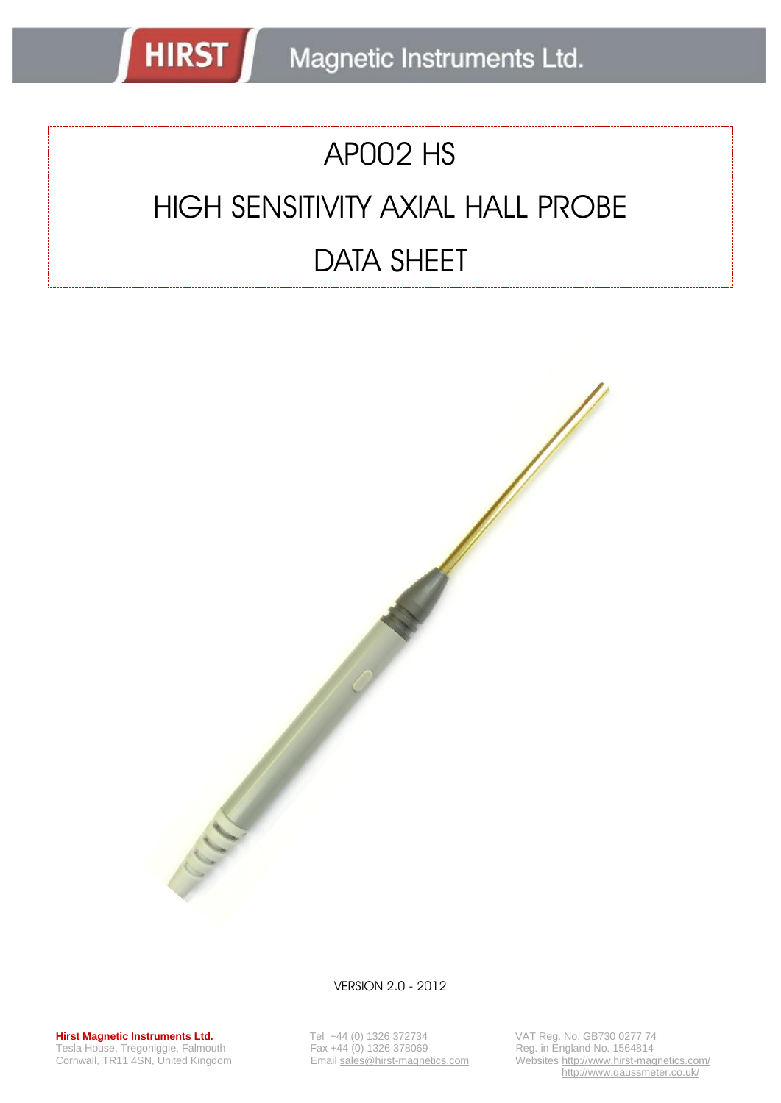# AP002 HS

**HIRST** 

# HIGH SENSITIVITY AXIAL HALL PROBE DATA SHEET



VERSION 2.0 - 2012

**Hirst Magnetic Instruments Ltd.** Tel +44 (0) 1326 372734 VAT Reg. No. GB730 0277 74<br>Tesla House, Tregoniggie, Falmouth Fax +44 (0) 1326 378069 Reg. in England No. 1564814 Tesla House, Tregoniggie, Falmouth<br>
Tesla House, Tregoniggie, Falmouth<br>
Cornwall, TR11 4SN, United Kingdom<br>
Email sales@hirst-magnetics.com

Corner Corner Hirst-magnetics.com<br>Reg. in England No. 1564814<br>Websites http://www.hirst-magnetics.com/ http://www.gaussmeter.co.uk/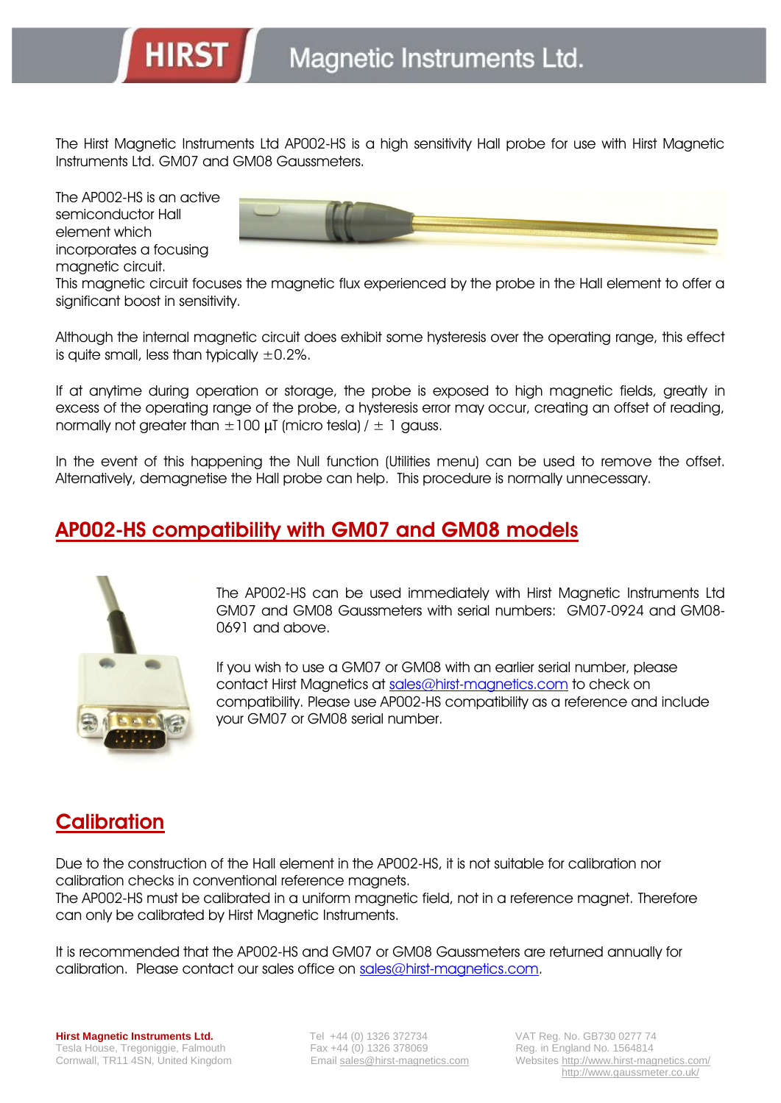The Hirst Magnetic Instruments Ltd AP002-HS is a high sensitivity Hall probe for use with Hirst Magnetic Instruments Ltd. GM07 and GM08 Gaussmeters.

The AP002-HS is an active semiconductor Hall element which incorporates a focusing magnetic circuit.

**HIRST** 



This magnetic circuit focuses the magnetic flux experienced by the probe in the Hall element to offer a significant boost in sensitivity.

Although the internal magnetic circuit does exhibit some hysteresis over the operating range, this effect is quite small, less than typically  $\pm 0.2\%$ .

If at anytime during operation or storage, the probe is exposed to high magnetic fields, greatly in excess of the operating range of the probe, a hysteresis error may occur, creating an offset of reading, normally not greater than  $\pm 100$  µT (micro tesla) /  $\pm 1$  gauss.

In the event of this happening the Null function (Utilities menu) can be used to remove the offset. Alternatively, demagnetise the Hall probe can help. This procedure is normally unnecessary.

### **AP002-HS compatibility with GM07 and GM08 models**



The AP002-HS can be used immediately with Hirst Magnetic Instruments Ltd GM07 and GM08 Gaussmeters with serial numbers: GM07-0924 and GM08- 0691 and above.

If you wish to use a GM07 or GM08 with an earlier serial number, please contact Hirst Magnetics at [sales@hirst-magnetics.com](mailto:sales@hirst-magnetics.com) to check on compatibility. Please use AP002-HS compatibility as a reference and include your GM07 or GM08 serial number.

#### **Calibration**

Due to the construction of the Hall element in the AP002-HS, it is not suitable for calibration nor calibration checks in conventional reference magnets.

The AP002-HS must be calibrated in a uniform magnetic field, not in a reference magnet. Therefore can only be calibrated by Hirst Magnetic Instruments.

It is recommended that the AP002-HS and GM07 or GM08 Gaussmeters are returned annually for calibration. Please contact our sales office on [sales@hirst-magnetics.com.](mailto:sales@hirst-magnetics.com)

Cornwall, TR11 4SN, United Kingdom Email sales@hirst-magnetics.com Websites http://www.hirst-magnetics.com/ http://www.gaussmeter.co.uk/